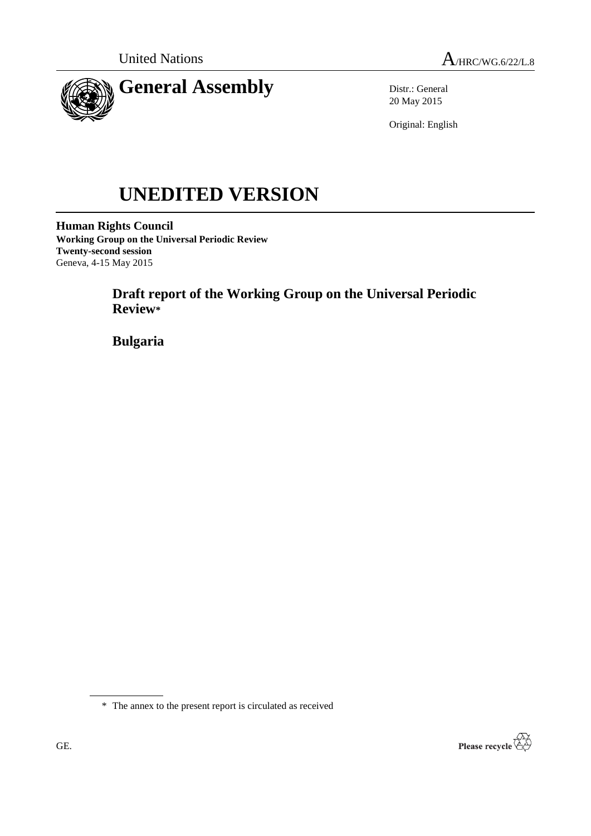

Distr.: General 20 May 2015

Original: English

# **UNEDITED VERSION**

**Human Rights Council Working Group on the Universal Periodic Review Twenty-second session** Geneva, 4-15 May 2015

> **Draft report of the Working Group on the Universal Periodic Review\***

**Bulgaria**

\* The annex to the present report is circulated as received

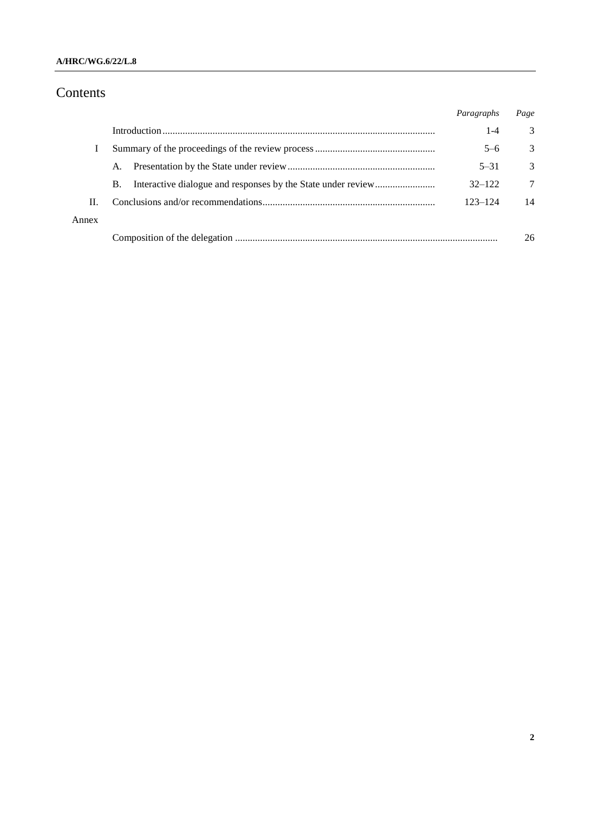## **A/HRC/WG.6/22/L.8**

# Contents

|       |           | Paragraphs | Page          |
|-------|-----------|------------|---------------|
|       |           | $1 - 4$    | 3             |
|       |           | $5 - 6$    | 3             |
|       | A.        | $5 - 31$   | $\mathcal{R}$ |
|       | <b>B.</b> | $32 - 122$ | 7             |
| H.    |           | 123-124    | 14            |
| Annex |           |            |               |
|       |           |            | 26            |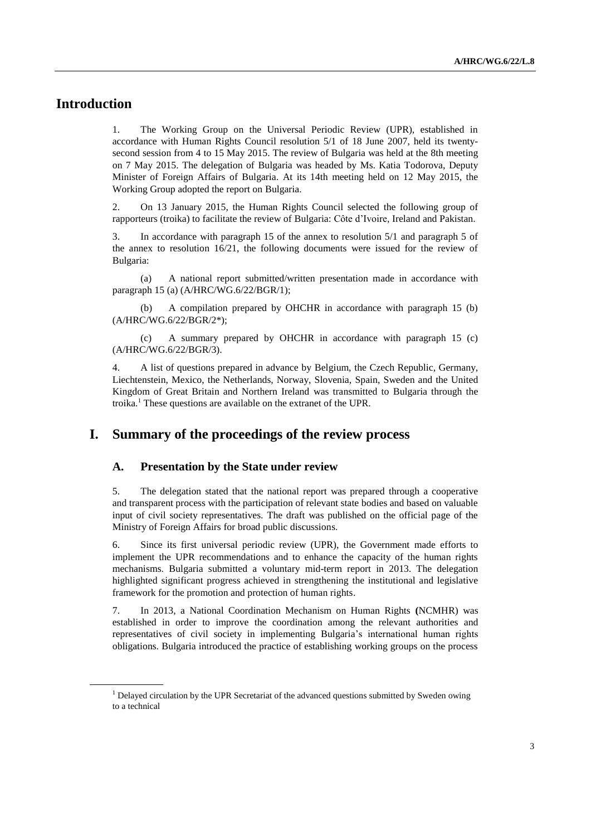# **Introduction**

1. The Working Group on the Universal Periodic Review (UPR), established in accordance with Human Rights Council resolution 5/1 of 18 June 2007, held its twentysecond session from 4 to 15 May 2015. The review of Bulgaria was held at the 8th meeting on 7 May 2015. The delegation of Bulgaria was headed by Ms. Katia Todorova, Deputy Minister of Foreign Affairs of Bulgaria. At its 14th meeting held on 12 May 2015, the Working Group adopted the report on Bulgaria.

2. On 13 January 2015, the Human Rights Council selected the following group of rapporteurs (troika) to facilitate the review of Bulgaria: Côte d'Ivoire, Ireland and Pakistan.

3. In accordance with paragraph 15 of the annex to resolution 5/1 and paragraph 5 of the annex to resolution 16/21, the following documents were issued for the review of Bulgaria:

(a) A national report submitted/written presentation made in accordance with paragraph 15 (a) (A/HRC/WG.6/22/BGR/1);

(b) A compilation prepared by OHCHR in accordance with paragraph 15 (b) (A/HRC/WG.6/22/BGR/2\*);

(c) A summary prepared by OHCHR in accordance with paragraph 15 (c) (A/HRC/WG.6/22/BGR/3).

4. A list of questions prepared in advance by Belgium, the Czech Republic, Germany, Liechtenstein, Mexico, the Netherlands, Norway, Slovenia, Spain, Sweden and the United Kingdom of Great Britain and Northern Ireland was transmitted to Bulgaria through the troika.<sup>1</sup> These questions are available on the extranet of the UPR.

## **I. Summary of the proceedings of the review process**

#### **A. Presentation by the State under review**

5. The delegation stated that the national report was prepared through a cooperative and transparent process with the participation of relevant state bodies and based on valuable input of civil society representatives. The draft was published on the official page of the Ministry of Foreign Affairs for broad public discussions.

6. Since its first universal periodic review (UPR), the Government made efforts to implement the UPR recommendations and to enhance the capacity of the human rights mechanisms. Bulgaria submitted a voluntary mid-term report in 2013. The delegation highlighted significant progress achieved in strengthening the institutional and legislative framework for the promotion and protection of human rights.

7. In 2013, a National Coordination Mechanism on Human Rights **(**NCMHR) was established in order to improve the coordination among the relevant authorities and representatives of civil society in implementing Bulgaria's international human rights obligations. Bulgaria introduced the practice of establishing working groups on the process

<sup>&</sup>lt;sup>1</sup> Delayed circulation by the UPR Secretariat of the advanced questions submitted by Sweden owing to a technical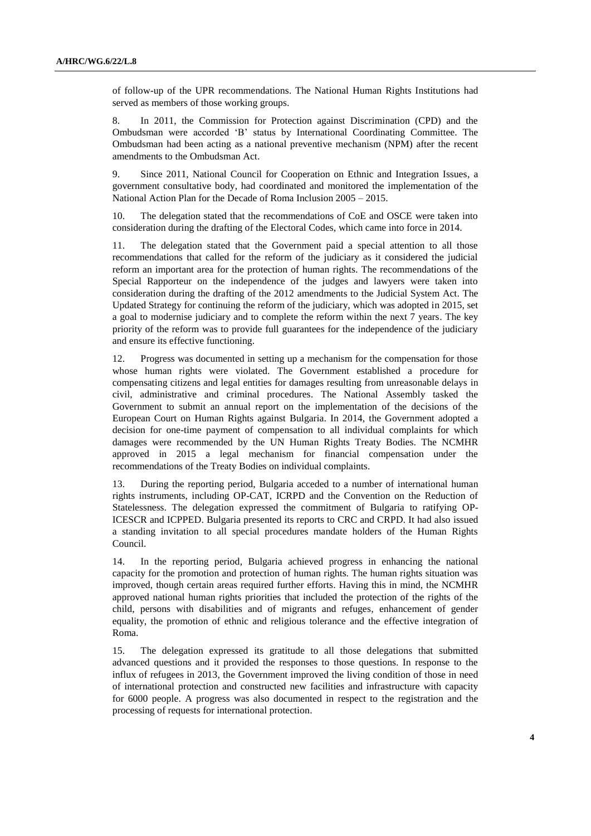of follow-up of the UPR recommendations. The National Human Rights Institutions had served as members of those working groups.

8. In 2011, the Commission for Protection against Discrimination (CPD) and the Ombudsman were accorded 'B' status by International Coordinating Committee. The Ombudsman had been acting as a national preventive mechanism (NPM) after the recent amendments to the Ombudsman Act.

9. Since 2011, National Council for Cooperation on Ethnic and Integration Issues, a government consultative body, had coordinated and monitored the implementation of the National Action Plan for the Decade of Roma Inclusion 2005 – 2015.

10. The delegation stated that the recommendations of CoE and OSCE were taken into consideration during the drafting of the Electoral Codes, which came into force in 2014.

11. The delegation stated that the Government paid a special attention to all those recommendations that called for the reform of the judiciary as it considered the judicial reform an important area for the protection of human rights. The recommendations of the Special Rapporteur on the independence of the judges and lawyers were taken into consideration during the drafting of the 2012 amendments to the Judicial System Act. The Updated Strategy for continuing the reform of the judiciary, which was adopted in 2015, set a goal to modernise judiciary and to complete the reform within the next 7 years. The key priority of the reform was to provide full guarantees for the independence of the judiciary and ensure its effective functioning.

12. Progress was documented in setting up a mechanism for the compensation for those whose human rights were violated. The Government established a procedure for compensating citizens and legal entities for damages resulting from unreasonable delays in civil, administrative and criminal procedures. The National Assembly tasked the Government to submit an annual report on the implementation of the decisions of the European Court on Human Rights against Bulgaria. In 2014, the Government adopted a decision for one-time payment of compensation to all individual complaints for which damages were recommended by the UN Human Rights Treaty Bodies. The NCMHR approved in 2015 a legal mechanism for financial compensation under the recommendations of the Treaty Bodies on individual complaints.

13. During the reporting period, Bulgaria acceded to a number of international human rights instruments, including OP-CAT, ICRPD and the Convention on the Reduction of Statelessness. The delegation expressed the commitment of Bulgaria to ratifying OP-ICESCR and ICPPED. Bulgaria presented its reports to CRC and CRPD. It had also issued a standing invitation to all special procedures mandate holders of the Human Rights Council.

14. In the reporting period, Bulgaria achieved progress in enhancing the national capacity for the promotion and protection of human rights. The human rights situation was improved, though certain areas required further efforts. Having this in mind, the NCMHR approved national human rights priorities that included the protection of the rights of the child, persons with disabilities and of migrants and refuges, enhancement of gender equality, the promotion of ethnic and religious tolerance and the effective integration of Roma.

15. The delegation expressed its gratitude to all those delegations that submitted advanced questions and it provided the responses to those questions. In response to the influx of refugees in 2013, the Government improved the living condition of those in need of international protection and constructed new facilities and infrastructure with capacity for 6000 people. A progress was also documented in respect to the registration and the processing of requests for international protection.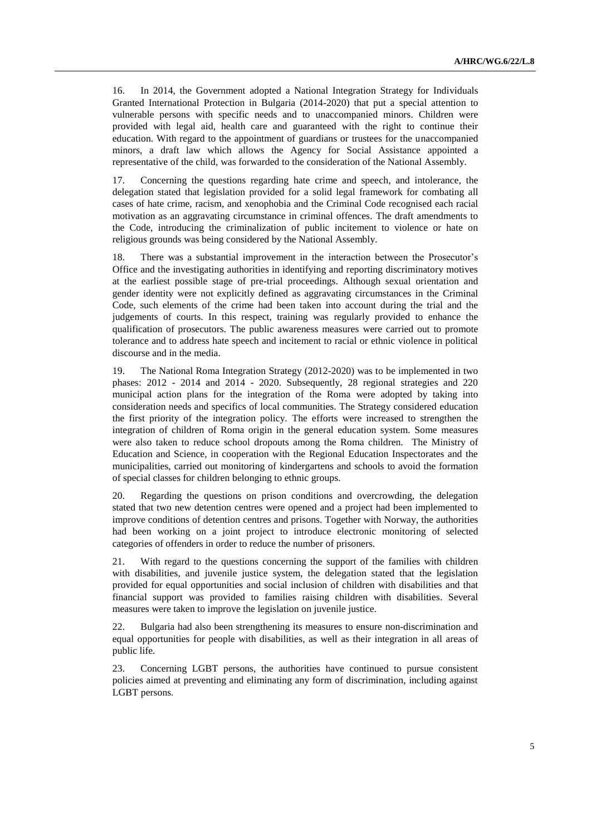16. In 2014, the Government adopted a National Integration Strategy for Individuals Granted International Protection in Bulgaria (2014-2020) that put a special attention to vulnerable persons with specific needs and to unaccompanied minors. Children were provided with legal aid, health care and guaranteed with the right to continue their education. With regard to the appointment of guardians or trustees for the unaccompanied minors, a draft law which allows the Agency for Social Assistance appointed a representative of the child, was forwarded to the consideration of the National Assembly.

17. Concerning the questions regarding hate crime and speech, and intolerance, the delegation stated that legislation provided for a solid legal framework for combating all cases of hate crime, racism, and xenophobia and the Criminal Code recognised each racial motivation as an aggravating circumstance in criminal offences. The draft amendments to the Code, introducing the criminalization of public incitement to violence or hate on religious grounds was being considered by the National Assembly.

18. There was a substantial improvement in the interaction between the Prosecutor's Office and the investigating authorities in identifying and reporting discriminatory motives at the earliest possible stage of pre-trial proceedings. Although sexual orientation and gender identity were not explicitly defined as aggravating circumstances in the Criminal Code, such elements of the crime had been taken into account during the trial and the judgements of courts. In this respect, training was regularly provided to enhance the qualification of prosecutors. The public awareness measures were carried out to promote tolerance and to address hate speech and incitement to racial or ethnic violence in political discourse and in the media.

19. The National Roma Integration Strategy (2012-2020) was to be implemented in two phases: 2012 - 2014 and 2014 - 2020. Subsequently, 28 regional strategies and 220 municipal action plans for the integration of the Roma were adopted by taking into consideration needs and specifics of local communities. The Strategy considered education the first priority of the integration policy. The efforts were increased to strengthen the integration of children of Roma origin in the general education system. Some measures were also taken to reduce school dropouts among the Roma children. The Ministry of Education and Science, in cooperation with the Regional Education Inspectorates and the municipalities, carried out monitoring of kindergartens and schools to avoid the formation of special classes for children belonging to ethnic groups.

20. Regarding the questions on prison conditions and overcrowding, the delegation stated that two new detention centres were opened and a project had been implemented to improve conditions of detention centres and prisons. Together with Norway, the authorities had been working on a joint project to introduce electronic monitoring of selected categories of offenders in order to reduce the number of prisoners.

21. With regard to the questions concerning the support of the families with children with disabilities, and juvenile justice system, the delegation stated that the legislation provided for equal opportunities and social inclusion of children with disabilities and that financial support was provided to families raising children with disabilities. Several measures were taken to improve the legislation on juvenile justice.

22. Bulgaria had also been strengthening its measures to ensure non-discrimination and equal opportunities for people with disabilities, as well as their integration in all areas of public life.

23. Concerning LGBT persons, the authorities have continued to pursue consistent policies aimed at preventing and eliminating any form of discrimination, including against LGBT persons.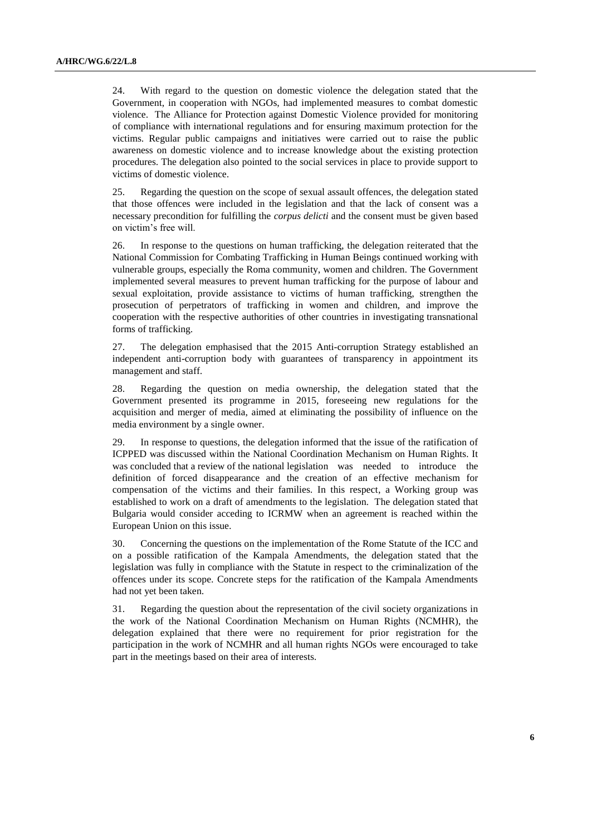24. With regard to the question on domestic violence the delegation stated that the Government, in cooperation with NGOs, had implemented measures to combat domestic violence. The Alliance for Protection against Domestic Violence provided for monitoring of compliance with international regulations and for ensuring maximum protection for the victims. Regular public campaigns and initiatives were carried out to raise the public awareness on domestic violence and to increase knowledge about the existing protection procedures. The delegation also pointed to the social services in place to provide support to victims of domestic violence.

25. Regarding the question on the scope of sexual assault offences, the delegation stated that those offences were included in the legislation and that the lack of consent was a necessary precondition for fulfilling the *corpus delicti* and the consent must be given based on victim's free will.

26. In response to the questions on human trafficking, the delegation reiterated that the National Commission for Combating Trafficking in Human Beings continued working with vulnerable groups, especially the Roma community, women and children. The Government implemented several measures to prevent human trafficking for the purpose of labour and sexual exploitation, provide assistance to victims of human trafficking, strengthen the prosecution of perpetrators of trafficking in women and children, and improve the cooperation with the respective authorities of other countries in investigating transnational forms of trafficking.

27. The delegation emphasised that the 2015 Anti-corruption Strategy established an independent anti-corruption body with guarantees of transparency in appointment its management and staff.

28. Regarding the question on media ownership, the delegation stated that the Government presented its programme in 2015, foreseeing new regulations for the acquisition and merger of media, aimed at eliminating the possibility of influence on the media environment by a single owner.

29. In response to questions, the delegation informed that the issue of the ratification of ICPPED was discussed within the National Coordination Mechanism on Human Rights. It was concluded that a review of the national legislation was needed to introduce the definition of forced disappearance and the creation of an effective mechanism for compensation of the victims and their families. In this respect, a Working group was established to work on a draft of amendments to the legislation. The delegation stated that Bulgaria would consider acceding to ICRMW when an agreement is reached within the European Union on this issue.

30. Concerning the questions on the implementation of the Rome Statute of the ICC and on a possible ratification of the Kampala Amendments, the delegation stated that the legislation was fully in compliance with the Statute in respect to the criminalization of the offences under its scope. Concrete steps for the ratification of the Kampala Amendments had not yet been taken.

31. Regarding the question about the representation of the civil society organizations in the work of the National Coordination Mechanism on Human Rights (NCMHR), the delegation explained that there were no requirement for prior registration for the participation in the work of NCMHR and all human rights NGOs were encouraged to take part in the meetings based on their area of interests.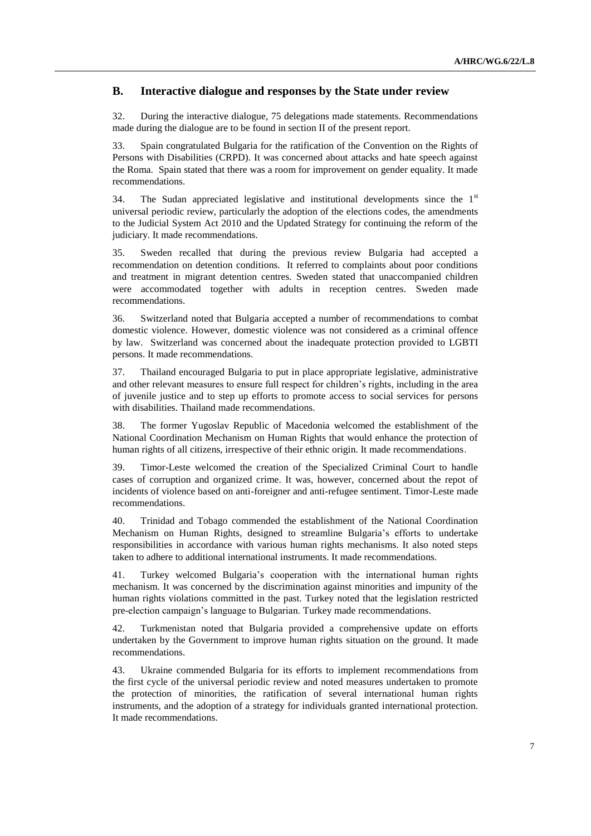## **B. Interactive dialogue and responses by the State under review**

32. During the interactive dialogue, 75 delegations made statements. Recommendations made during the dialogue are to be found in section II of the present report.

33. Spain congratulated Bulgaria for the ratification of the Convention on the Rights of Persons with Disabilities (CRPD). It was concerned about attacks and hate speech against the Roma. Spain stated that there was a room for improvement on gender equality. It made recommendations.

34. The Sudan appreciated legislative and institutional developments since the  $1<sup>st</sup>$ universal periodic review, particularly the adoption of the elections codes, the amendments to the Judicial System Act 2010 and the Updated Strategy for continuing the reform of the judiciary. It made recommendations.

35. Sweden recalled that during the previous review Bulgaria had accepted a recommendation on detention conditions. It referred to complaints about poor conditions and treatment in migrant detention centres. Sweden stated that unaccompanied children were accommodated together with adults in reception centres. Sweden made recommendations.

36. Switzerland noted that Bulgaria accepted a number of recommendations to combat domestic violence. However, domestic violence was not considered as a criminal offence by law. Switzerland was concerned about the inadequate protection provided to LGBTI persons. It made recommendations.

37. Thailand encouraged Bulgaria to put in place appropriate legislative, administrative and other relevant measures to ensure full respect for children's rights, including in the area of juvenile justice and to step up efforts to promote access to social services for persons with disabilities. Thailand made recommendations.

38. The former Yugoslav Republic of Macedonia welcomed the establishment of the National Coordination Mechanism on Human Rights that would enhance the protection of human rights of all citizens, irrespective of their ethnic origin. It made recommendations.

39. Timor-Leste welcomed the creation of the Specialized Criminal Court to handle cases of corruption and organized crime. It was, however, concerned about the repot of incidents of violence based on anti-foreigner and anti-refugee sentiment. Timor-Leste made recommendations.

40. Trinidad and Tobago commended the establishment of the National Coordination Mechanism on Human Rights, designed to streamline Bulgaria's efforts to undertake responsibilities in accordance with various human rights mechanisms. It also noted steps taken to adhere to additional international instruments. It made recommendations.

41. Turkey welcomed Bulgaria's cooperation with the international human rights mechanism. It was concerned by the discrimination against minorities and impunity of the human rights violations committed in the past. Turkey noted that the legislation restricted pre-election campaign's language to Bulgarian. Turkey made recommendations.

42. Turkmenistan noted that Bulgaria provided a comprehensive update on efforts undertaken by the Government to improve human rights situation on the ground. It made recommendations.

43. Ukraine commended Bulgaria for its efforts to implement recommendations from the first cycle of the universal periodic review and noted measures undertaken to promote the protection of minorities, the ratification of several international human rights instruments, and the adoption of a strategy for individuals granted international protection. It made recommendations.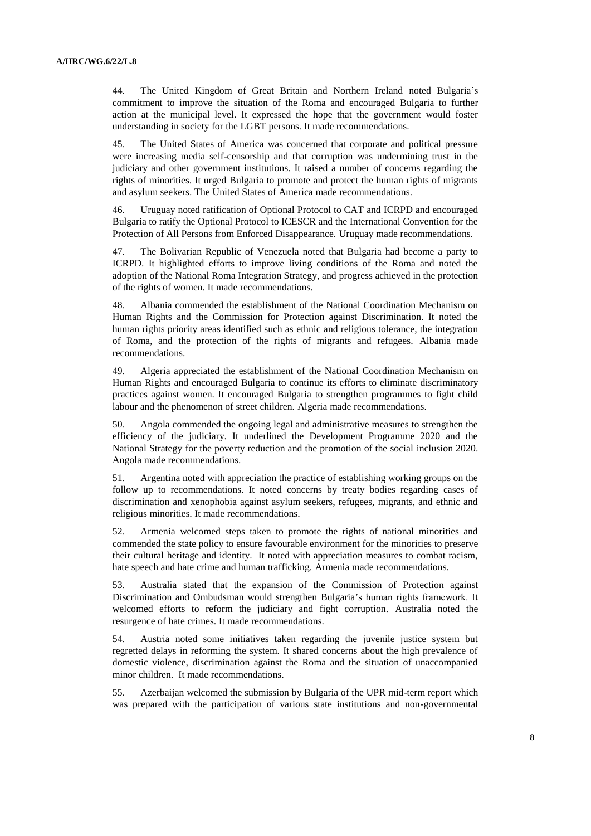44. The United Kingdom of Great Britain and Northern Ireland noted Bulgaria's commitment to improve the situation of the Roma and encouraged Bulgaria to further action at the municipal level. It expressed the hope that the government would foster understanding in society for the LGBT persons. It made recommendations.

45. The United States of America was concerned that corporate and political pressure were increasing media self-censorship and that corruption was undermining trust in the judiciary and other government institutions. It raised a number of concerns regarding the rights of minorities. It urged Bulgaria to promote and protect the human rights of migrants and asylum seekers. The United States of America made recommendations.

46. Uruguay noted ratification of Optional Protocol to CAT and ICRPD and encouraged Bulgaria to ratify the Optional Protocol to ICESCR and the International Convention for the Protection of All Persons from Enforced Disappearance. Uruguay made recommendations.

47. The Bolivarian Republic of Venezuela noted that Bulgaria had become a party to ICRPD. It highlighted efforts to improve living conditions of the Roma and noted the adoption of the National Roma Integration Strategy, and progress achieved in the protection of the rights of women. It made recommendations.

48. Albania commended the establishment of the National Coordination Mechanism on Human Rights and the Commission for Protection against Discrimination. It noted the human rights priority areas identified such as ethnic and religious tolerance, the integration of Roma, and the protection of the rights of migrants and refugees. Albania made recommendations.

49. Algeria appreciated the establishment of the National Coordination Mechanism on Human Rights and encouraged Bulgaria to continue its efforts to eliminate discriminatory practices against women. It encouraged Bulgaria to strengthen programmes to fight child labour and the phenomenon of street children. Algeria made recommendations.

50. Angola commended the ongoing legal and administrative measures to strengthen the efficiency of the judiciary. It underlined the Development Programme 2020 and the National Strategy for the poverty reduction and the promotion of the social inclusion 2020. Angola made recommendations.

51. Argentina noted with appreciation the practice of establishing working groups on the follow up to recommendations. It noted concerns by treaty bodies regarding cases of discrimination and xenophobia against asylum seekers, refugees, migrants, and ethnic and religious minorities. It made recommendations.

52. Armenia welcomed steps taken to promote the rights of national minorities and commended the state policy to ensure favourable environment for the minorities to preserve their cultural heritage and identity. It noted with appreciation measures to combat racism, hate speech and hate crime and human trafficking. Armenia made recommendations.

53. Australia stated that the expansion of the Commission of Protection against Discrimination and Ombudsman would strengthen Bulgaria's human rights framework. It welcomed efforts to reform the judiciary and fight corruption. Australia noted the resurgence of hate crimes. It made recommendations.

54. Austria noted some initiatives taken regarding the juvenile justice system but regretted delays in reforming the system. It shared concerns about the high prevalence of domestic violence, discrimination against the Roma and the situation of unaccompanied minor children. It made recommendations.

55. Azerbaijan welcomed the submission by Bulgaria of the UPR mid-term report which was prepared with the participation of various state institutions and non-governmental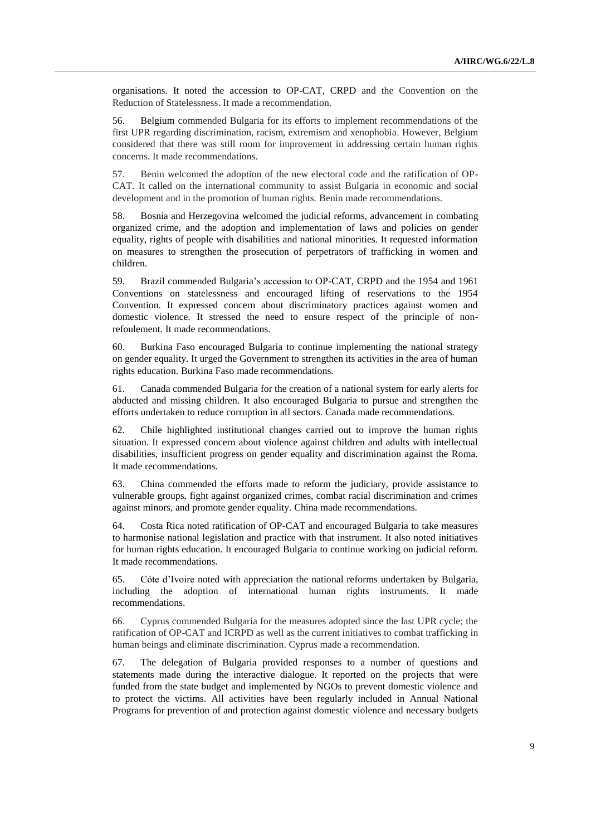organisations. It noted the accession to OP-CAT, CRPD and the Convention on the Reduction of Statelessness. It made a recommendation.

56. Belgium commended Bulgaria for its efforts to implement recommendations of the first UPR regarding discrimination, racism, extremism and xenophobia. However, Belgium considered that there was still room for improvement in addressing certain human rights concerns. It made recommendations.

57. Benin welcomed the adoption of the new electoral code and the ratification of OP-CAT. It called on the international community to assist Bulgaria in economic and social development and in the promotion of human rights. Benin made recommendations.

58. Bosnia and Herzegovina welcomed the judicial reforms, advancement in combating organized crime, and the adoption and implementation of laws and policies on gender equality, rights of people with disabilities and national minorities. It requested information on measures to strengthen the prosecution of perpetrators of trafficking in women and children.

59. Brazil commended Bulgaria's accession to OP-CAT, CRPD and the 1954 and 1961 Conventions on statelessness and encouraged lifting of reservations to the 1954 Convention. It expressed concern about discriminatory practices against women and domestic violence. It stressed the need to ensure respect of the principle of nonrefoulement. It made recommendations.

60. Burkina Faso encouraged Bulgaria to continue implementing the national strategy on gender equality. It urged the Government to strengthen its activities in the area of human rights education. Burkina Faso made recommendations.

61. Canada commended Bulgaria for the creation of a national system for early alerts for abducted and missing children. It also encouraged Bulgaria to pursue and strengthen the efforts undertaken to reduce corruption in all sectors. Canada made recommendations.

62. Chile highlighted institutional changes carried out to improve the human rights situation. It expressed concern about violence against children and adults with intellectual disabilities, insufficient progress on gender equality and discrimination against the Roma. It made recommendations.

63. China commended the efforts made to reform the judiciary, provide assistance to vulnerable groups, fight against organized crimes, combat racial discrimination and crimes against minors, and promote gender equality. China made recommendations.

64. Costa Rica noted ratification of OP-CAT and encouraged Bulgaria to take measures to harmonise national legislation and practice with that instrument. It also noted initiatives for human rights education. It encouraged Bulgaria to continue working on judicial reform. It made recommendations.

65. Côte d'Ivoire noted with appreciation the national reforms undertaken by Bulgaria, including the adoption of international human rights instruments. It made recommendations.

66. Cyprus commended Bulgaria for the measures adopted since the last UPR cycle; the ratification of OP-CAT and ICRPD as well as the current initiatives to combat trafficking in human beings and eliminate discrimination. Cyprus made a recommendation.

67. The delegation of Bulgaria provided responses to a number of questions and statements made during the interactive dialogue. It reported on the projects that were funded from the state budget and implemented by NGOs to prevent domestic violence and to protect the victims. All activities have been regularly included in Annual National Programs for prevention of and protection against domestic violence and necessary budgets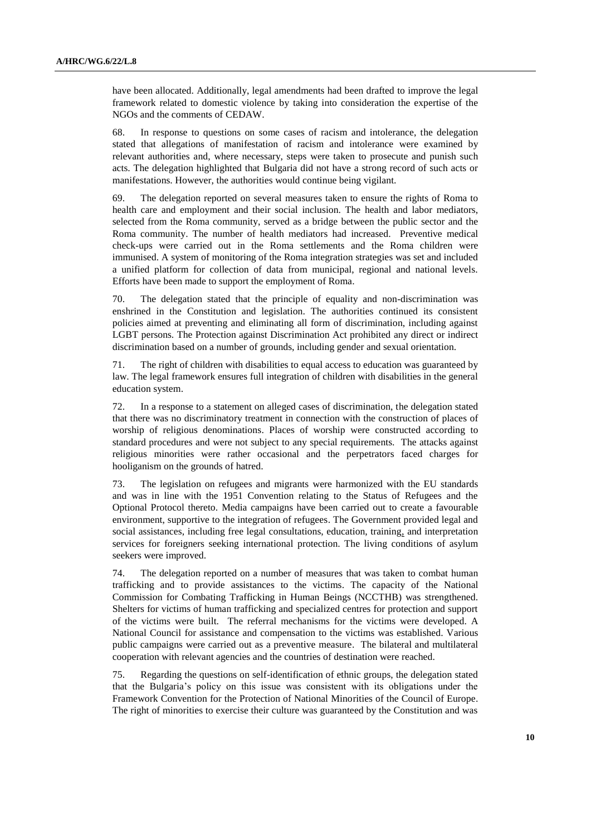have been allocated. Additionally, legal amendments had been drafted to improve the legal framework related to domestic violence by taking into consideration the expertise of the NGOs and the comments of CEDAW.

68. In response to questions on some cases of racism and intolerance, the delegation stated that allegations of manifestation of racism and intolerance were examined by relevant authorities and, where necessary, steps were taken to prosecute and punish such acts. The delegation highlighted that Bulgaria did not have a strong record of such acts or manifestations. However, the authorities would continue being vigilant.

69. The delegation reported on several measures taken to ensure the rights of Roma to health care and employment and their social inclusion. The health and labor mediators, selected from the Roma community, served as a bridge between the public sector and the Roma community. The number of health mediators had increased. Preventive medical check-ups were carried out in the Roma settlements and the Roma children were immunised. A system of monitoring of the Roma integration strategies was set and included a unified platform for collection of data from municipal, regional and national levels. Efforts have been made to support the employment of Roma.

70. The delegation stated that the principle of equality and non-discrimination was enshrined in the Constitution and legislation. The authorities continued its consistent policies aimed at preventing and eliminating all form of discrimination, including against LGBT persons. The Protection against Discrimination Act prohibited any direct or indirect discrimination based on a number of grounds, including gender and sexual orientation.

71. The right of children with disabilities to equal access to education was guaranteed by law. The legal framework ensures full integration of children with disabilities in the general education system.

72. In a response to a statement on alleged cases of discrimination, the delegation stated that there was no discriminatory treatment in connection with the construction of places of worship of religious denominations. Places of worship were constructed according to standard procedures and were not subject to any special requirements. The attacks against religious minorities were rather occasional and the perpetrators faced charges for hooliganism on the grounds of hatred.

73. The legislation on refugees and migrants were harmonized with the EU standards and was in line with the 1951 Convention relating to the Status of Refugees and the Optional Protocol thereto. Media campaigns have been carried out to create a favourable environment, supportive to the integration of refugees. The Government provided legal and social assistances, including free legal consultations, education, training*,* and interpretation services for foreigners seeking international protection. The living conditions of asylum seekers were improved.

74. The delegation reported on a number of measures that was taken to combat human trafficking and to provide assistances to the victims. The capacity of the National Commission for Combating Trafficking in Human Beings (NCCTHB) was strengthened. Shelters for victims of human trafficking and specialized centres for protection and support of the victims were built. The referral mechanisms for the victims were developed. A National Council for assistance and compensation to the victims was established. Various public campaigns were carried out as a preventive measure. The bilateral and multilateral cooperation with relevant agencies and the countries of destination were reached.

75. Regarding the questions on self-identification of ethnic groups, the delegation stated that the Bulgaria's policy on this issue was consistent with its obligations under the Framework Convention for the Protection of National Minorities of the Council of Europe. The right of minorities to exercise their culture was guaranteed by the Constitution and was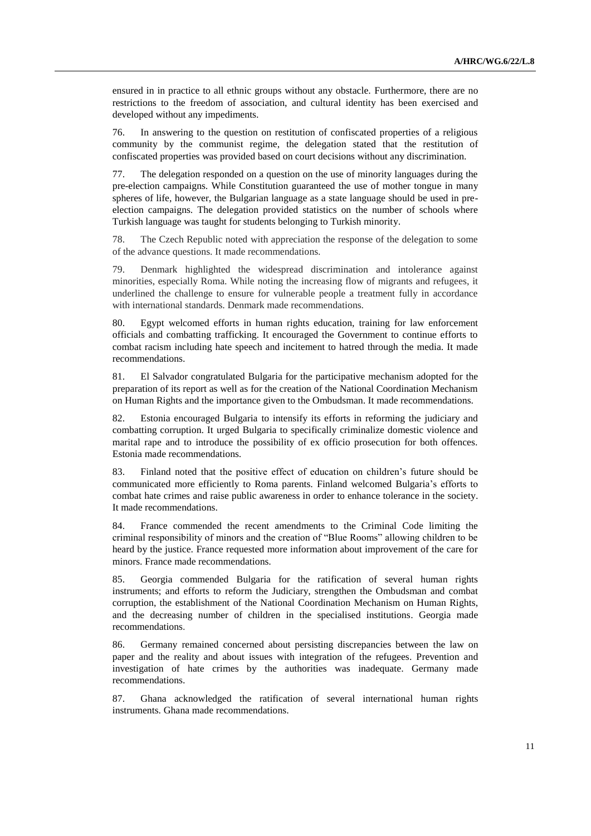ensured in in practice to all ethnic groups without any obstacle. Furthermore, there are no restrictions to the freedom of association, and cultural identity has been exercised and developed without any impediments.

76. In answering to the question on restitution of confiscated properties of a religious community by the communist regime, the delegation stated that the restitution of confiscated properties was provided based on court decisions without any discrimination.

77. The delegation responded on a question on the use of minority languages during the pre-election campaigns. While Constitution guaranteed the use of mother tongue in many spheres of life, however, the Bulgarian language as a state language should be used in preelection campaigns. The delegation provided statistics on the number of schools where Turkish language was taught for students belonging to Turkish minority.

78. The Czech Republic noted with appreciation the response of the delegation to some of the advance questions. It made recommendations.

79. Denmark highlighted the widespread discrimination and intolerance against minorities, especially Roma. While noting the increasing flow of migrants and refugees, it underlined the challenge to ensure for vulnerable people a treatment fully in accordance with international standards. Denmark made recommendations.

80. Egypt welcomed efforts in human rights education, training for law enforcement officials and combatting trafficking. It encouraged the Government to continue efforts to combat racism including hate speech and incitement to hatred through the media. It made recommendations.

81. El Salvador congratulated Bulgaria for the participative mechanism adopted for the preparation of its report as well as for the creation of the National Coordination Mechanism on Human Rights and the importance given to the Ombudsman. It made recommendations.

82. Estonia encouraged Bulgaria to intensify its efforts in reforming the judiciary and combatting corruption. It urged Bulgaria to specifically criminalize domestic violence and marital rape and to introduce the possibility of ex officio prosecution for both offences. Estonia made recommendations.

83. Finland noted that the positive effect of education on children's future should be communicated more efficiently to Roma parents. Finland welcomed Bulgaria's efforts to combat hate crimes and raise public awareness in order to enhance tolerance in the society. It made recommendations.

84. France commended the recent amendments to the Criminal Code limiting the criminal responsibility of minors and the creation of "Blue Rooms" allowing children to be heard by the justice. France requested more information about improvement of the care for minors. France made recommendations.

85. Georgia commended Bulgaria for the ratification of several human rights instruments; and efforts to reform the Judiciary, strengthen the Ombudsman and combat corruption, the establishment of the National Coordination Mechanism on Human Rights, and the decreasing number of children in the specialised institutions. Georgia made recommendations.

86. Germany remained concerned about persisting discrepancies between the law on paper and the reality and about issues with integration of the refugees. Prevention and investigation of hate crimes by the authorities was inadequate. Germany made recommendations.

87. Ghana acknowledged the ratification of several international human rights instruments. Ghana made recommendations.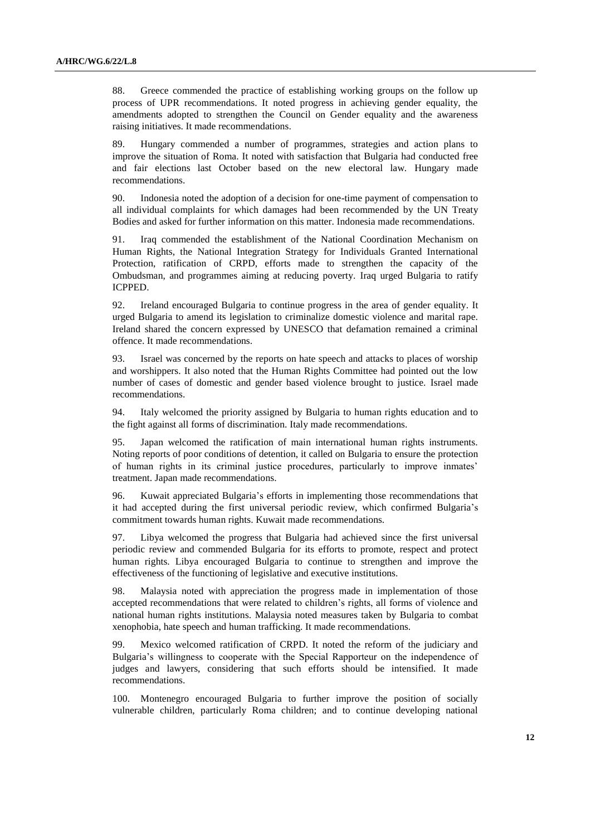88. Greece commended the practice of establishing working groups on the follow up process of UPR recommendations. It noted progress in achieving gender equality, the amendments adopted to strengthen the Council on Gender equality and the awareness raising initiatives. It made recommendations.

89. Hungary commended a number of programmes, strategies and action plans to improve the situation of Roma. It noted with satisfaction that Bulgaria had conducted free and fair elections last October based on the new electoral law. Hungary made recommendations.

90. Indonesia noted the adoption of a decision for one-time payment of compensation to all individual complaints for which damages had been recommended by the UN Treaty Bodies and asked for further information on this matter. Indonesia made recommendations.

91. Iraq commended the establishment of the National Coordination Mechanism on Human Rights, the National Integration Strategy for Individuals Granted International Protection, ratification of CRPD, efforts made to strengthen the capacity of the Ombudsman, and programmes aiming at reducing poverty. Iraq urged Bulgaria to ratify ICPPED.

92. Ireland encouraged Bulgaria to continue progress in the area of gender equality. It urged Bulgaria to amend its legislation to criminalize domestic violence and marital rape. Ireland shared the concern expressed by UNESCO that defamation remained a criminal offence. It made recommendations.

93. Israel was concerned by the reports on hate speech and attacks to places of worship and worshippers. It also noted that the Human Rights Committee had pointed out the low number of cases of domestic and gender based violence brought to justice. Israel made recommendations.

94. Italy welcomed the priority assigned by Bulgaria to human rights education and to the fight against all forms of discrimination. Italy made recommendations.

95. Japan welcomed the ratification of main international human rights instruments. Noting reports of poor conditions of detention, it called on Bulgaria to ensure the protection of human rights in its criminal justice procedures, particularly to improve inmates' treatment. Japan made recommendations.

96. Kuwait appreciated Bulgaria's efforts in implementing those recommendations that it had accepted during the first universal periodic review, which confirmed Bulgaria's commitment towards human rights. Kuwait made recommendations.

97. Libya welcomed the progress that Bulgaria had achieved since the first universal periodic review and commended Bulgaria for its efforts to promote, respect and protect human rights. Libya encouraged Bulgaria to continue to strengthen and improve the effectiveness of the functioning of legislative and executive institutions.

98. Malaysia noted with appreciation the progress made in implementation of those accepted recommendations that were related to children's rights, all forms of violence and national human rights institutions. Malaysia noted measures taken by Bulgaria to combat xenophobia, hate speech and human trafficking. It made recommendations.

99. Mexico welcomed ratification of CRPD. It noted the reform of the judiciary and Bulgaria's willingness to cooperate with the Special Rapporteur on the independence of judges and lawyers, considering that such efforts should be intensified. It made recommendations.

100. Montenegro encouraged Bulgaria to further improve the position of socially vulnerable children, particularly Roma children; and to continue developing national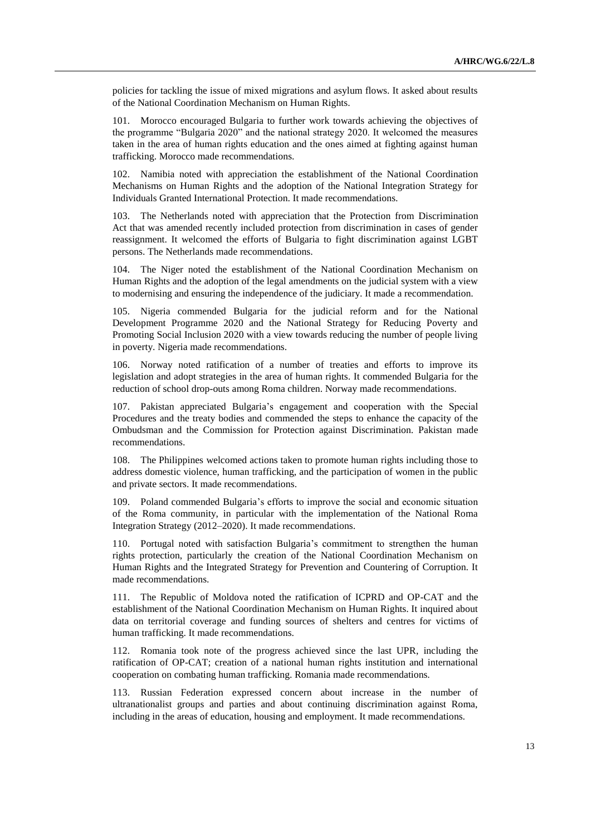policies for tackling the issue of mixed migrations and asylum flows. It asked about results of the National Coordination Mechanism on Human Rights.

101. Morocco encouraged Bulgaria to further work towards achieving the objectives of the programme "Bulgaria 2020" and the national strategy 2020. It welcomed the measures taken in the area of human rights education and the ones aimed at fighting against human trafficking. Morocco made recommendations.

102. Namibia noted with appreciation the establishment of the National Coordination Mechanisms on Human Rights and the adoption of the National Integration Strategy for Individuals Granted International Protection. It made recommendations.

103. The Netherlands noted with appreciation that the Protection from Discrimination Act that was amended recently included protection from discrimination in cases of gender reassignment. It welcomed the efforts of Bulgaria to fight discrimination against LGBT persons. The Netherlands made recommendations.

104. The Niger noted the establishment of the National Coordination Mechanism on Human Rights and the adoption of the legal amendments on the judicial system with a view to modernising and ensuring the independence of the judiciary. It made a recommendation.

105. Nigeria commended Bulgaria for the judicial reform and for the National Development Programme 2020 and the National Strategy for Reducing Poverty and Promoting Social Inclusion 2020 with a view towards reducing the number of people living in poverty. Nigeria made recommendations.

106. Norway noted ratification of a number of treaties and efforts to improve its legislation and adopt strategies in the area of human rights. It commended Bulgaria for the reduction of school drop-outs among Roma children. Norway made recommendations.

107. Pakistan appreciated Bulgaria's engagement and cooperation with the Special Procedures and the treaty bodies and commended the steps to enhance the capacity of the Ombudsman and the Commission for Protection against Discrimination. Pakistan made recommendations.

108. The Philippines welcomed actions taken to promote human rights including those to address domestic violence, human trafficking, and the participation of women in the public and private sectors. It made recommendations.

109. Poland commended Bulgaria's efforts to improve the social and economic situation of the Roma community, in particular with the implementation of the National Roma Integration Strategy (2012–2020). It made recommendations.

110. Portugal noted with satisfaction Bulgaria's commitment to strengthen the human rights protection, particularly the creation of the National Coordination Mechanism on Human Rights and the Integrated Strategy for Prevention and Countering of Corruption. It made recommendations.

111. The Republic of Moldova noted the ratification of ICPRD and OP-CAT and the establishment of the National Coordination Mechanism on Human Rights. It inquired about data on territorial coverage and funding sources of shelters and centres for victims of human trafficking. It made recommendations.

112. Romania took note of the progress achieved since the last UPR, including the ratification of OP-CAT; creation of a national human rights institution and international cooperation on combating human trafficking. Romania made recommendations.

113. Russian Federation expressed concern about increase in the number of ultranationalist groups and parties and about continuing discrimination against Roma, including in the areas of education, housing and employment. It made recommendations.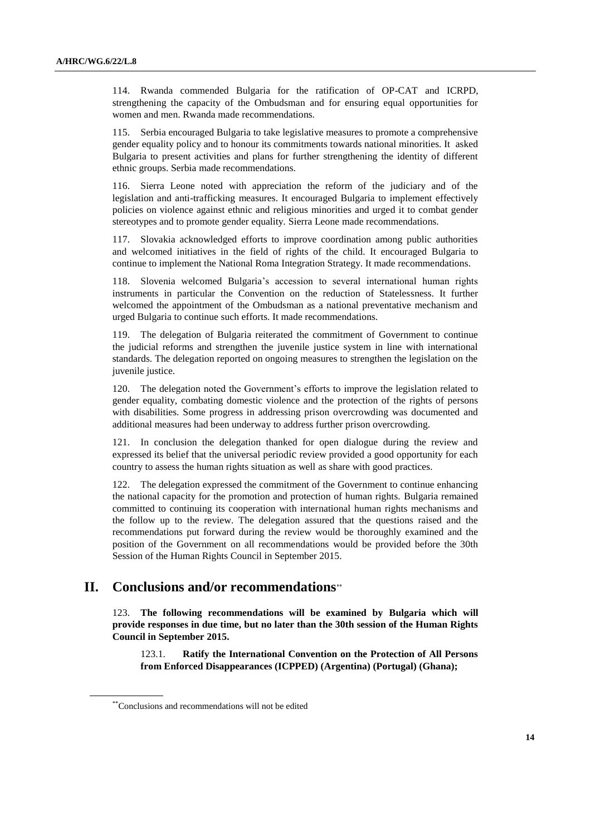114. Rwanda commended Bulgaria for the ratification of OP-CAT and ICRPD, strengthening the capacity of the Ombudsman and for ensuring equal opportunities for women and men. Rwanda made recommendations.

115. Serbia encouraged Bulgaria to take legislative measures to promote a comprehensive gender equality policy and to honour its commitments towards national minorities. It asked Bulgaria to present activities and plans for further strengthening the identity of different ethnic groups. Serbia made recommendations.

116. Sierra Leone noted with appreciation the reform of the judiciary and of the legislation and anti-trafficking measures. It encouraged Bulgaria to implement effectively policies on violence against ethnic and religious minorities and urged it to combat gender stereotypes and to promote gender equality. Sierra Leone made recommendations.

117. Slovakia acknowledged efforts to improve coordination among public authorities and welcomed initiatives in the field of rights of the child. It encouraged Bulgaria to continue to implement the National Roma Integration Strategy. It made recommendations.

118. Slovenia welcomed Bulgaria's accession to several international human rights instruments in particular the Convention on the reduction of Statelessness. It further welcomed the appointment of the Ombudsman as a national preventative mechanism and urged Bulgaria to continue such efforts. It made recommendations.

119. The delegation of Bulgaria reiterated the commitment of Government to continue the judicial reforms and strengthen the juvenile justice system in line with international standards. The delegation reported on ongoing measures to strengthen the legislation on the juvenile justice.

120. The delegation noted the Government's efforts to improve the legislation related to gender equality, combating domestic violence and the protection of the rights of persons with disabilities. Some progress in addressing prison overcrowding was documented and additional measures had been underway to address further prison overcrowding.

121. In conclusion the delegation thanked for open dialogue during the review and expressed its belief that the universal periodic review provided a good opportunity for each country to assess the human rights situation as well as share with good practices.

122. The delegation expressed the commitment of the Government to continue enhancing the national capacity for the promotion and protection of human rights. Bulgaria remained committed to continuing its cooperation with international human rights mechanisms and the follow up to the review. The delegation assured that the questions raised and the recommendations put forward during the review would be thoroughly examined and the position of the Government on all recommendations would be provided before the 30th Session of the Human Rights Council in September 2015.

# **II. Conclusions and/or recommendations**

123. **The following recommendations will be examined by Bulgaria which will provide responses in due time, but no later than the 30th session of the Human Rights Council in September 2015.**

123.1. **Ratify the International Convention on the Protection of All Persons from Enforced Disappearances (ICPPED) (Argentina) (Portugal) (Ghana);**

<sup>\*\*</sup>Conclusions and recommendations will not be edited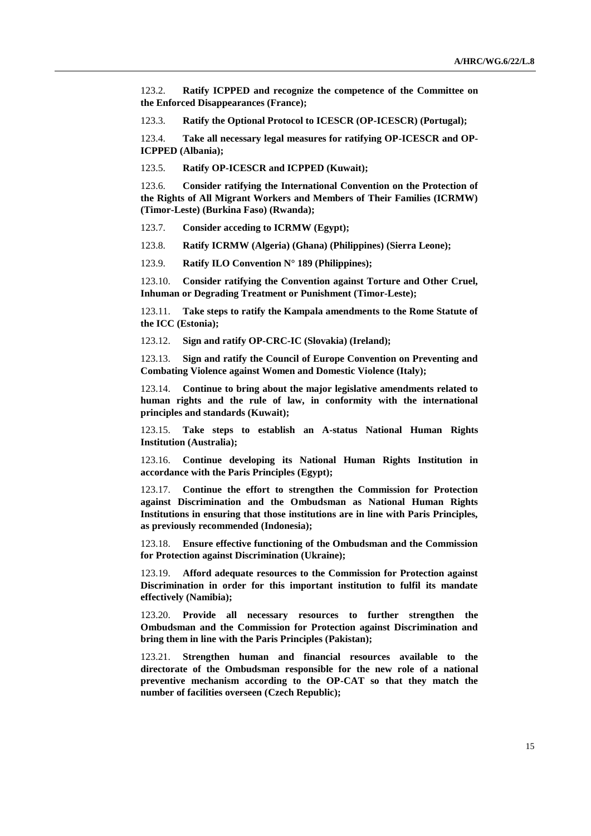123.2. **Ratify ICPPED and recognize the competence of the Committee on the Enforced Disappearances (France);**

123.3. **Ratify the Optional Protocol to ICESCR (OP-ICESCR) (Portugal);**

123.4. **Take all necessary legal measures for ratifying OP-ICESCR and OP-ICPPED (Albania);**

123.5. **Ratify OP-ICESCR and ICPPED (Kuwait);**

123.6. **Consider ratifying the International Convention on the Protection of the Rights of All Migrant Workers and Members of Their Families (ICRMW) (Timor-Leste) (Burkina Faso) (Rwanda);**

123.7. **Consider acceding to ICRMW (Egypt);**

123.8. **Ratify ICRMW (Algeria) (Ghana) (Philippines) (Sierra Leone);**

123.9. **Ratify ILO Convention N° 189 (Philippines);**

123.10. **Consider ratifying the Convention against Torture and Other Cruel, Inhuman or Degrading Treatment or Punishment (Timor-Leste);**

123.11. **Take steps to ratify the Kampala amendments to the Rome Statute of the ICC (Estonia);**

123.12. **Sign and ratify OP-CRC-IC (Slovakia) (Ireland);**

123.13. **Sign and ratify the Council of Europe Convention on Preventing and Combating Violence against Women and Domestic Violence (Italy);**

123.14. **Continue to bring about the major legislative amendments related to human rights and the rule of law, in conformity with the international principles and standards (Kuwait);**

123.15. **Take steps to establish an A-status National Human Rights Institution (Australia);**

123.16. **Continue developing its National Human Rights Institution in accordance with the Paris Principles (Egypt);**

123.17. **Continue the effort to strengthen the Commission for Protection against Discrimination and the Ombudsman as National Human Rights Institutions in ensuring that those institutions are in line with Paris Principles, as previously recommended (Indonesia);** 

123.18. **Ensure effective functioning of the Ombudsman and the Commission for Protection against Discrimination (Ukraine);**

123.19. **Afford adequate resources to the Commission for Protection against Discrimination in order for this important institution to fulfil its mandate effectively (Namibia);**

123.20. **Provide all necessary resources to further strengthen the Ombudsman and the Commission for Protection against Discrimination and bring them in line with the Paris Principles (Pakistan);**

123.21. **Strengthen human and financial resources available to the directorate of the Ombudsman responsible for the new role of a national preventive mechanism according to the OP-CAT so that they match the number of facilities overseen (Czech Republic);**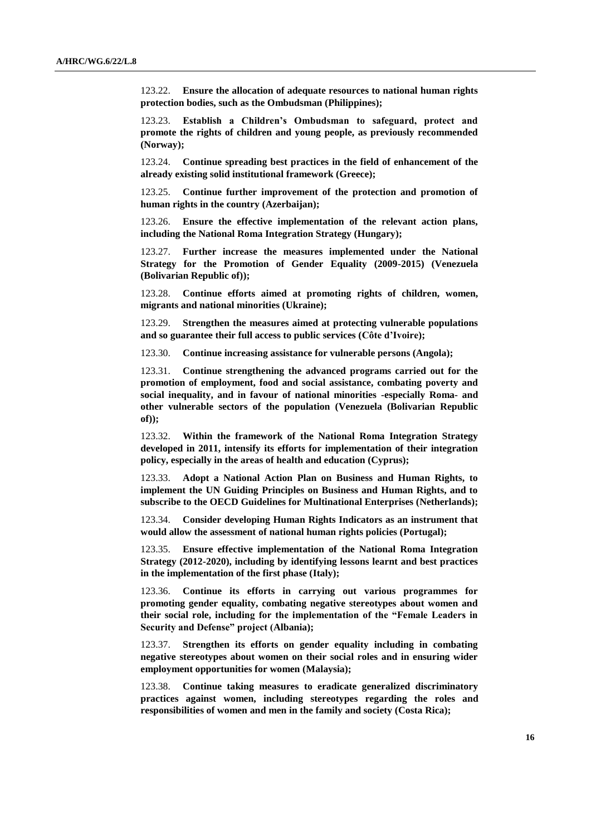123.22. **Ensure the allocation of adequate resources to national human rights protection bodies, such as the Ombudsman (Philippines);**

123.23. **Establish a Children's Ombudsman to safeguard, protect and promote the rights of children and young people, as previously recommended (Norway);**

123.24. **Continue spreading best practices in the field of enhancement of the already existing solid institutional framework (Greece);**

123.25. **Continue further improvement of the protection and promotion of human rights in the country (Azerbaijan);**

123.26. **Ensure the effective implementation of the relevant action plans, including the National Roma Integration Strategy (Hungary);**

123.27. **Further increase the measures implemented under the National Strategy for the Promotion of Gender Equality (2009-2015) (Venezuela (Bolivarian Republic of));**

123.28. **Continue efforts aimed at promoting rights of children, women, migrants and national minorities (Ukraine);**

123.29. **Strengthen the measures aimed at protecting vulnerable populations and so guarantee their full access to public services (Côte d'Ivoire);**

123.30. **Continue increasing assistance for vulnerable persons (Angola);**

123.31. **Continue strengthening the advanced programs carried out for the promotion of employment, food and social assistance, combating poverty and social inequality, and in favour of national minorities -especially Roma- and other vulnerable sectors of the population (Venezuela (Bolivarian Republic of));**

123.32. **Within the framework of the National Roma Integration Strategy developed in 2011, intensify its efforts for implementation of their integration policy, especially in the areas of health and education (Cyprus);**

123.33. **Adopt a National Action Plan on Business and Human Rights, to implement the UN Guiding Principles on Business and Human Rights, and to subscribe to the OECD Guidelines for Multinational Enterprises (Netherlands);**

123.34. **Consider developing Human Rights Indicators as an instrument that would allow the assessment of national human rights policies (Portugal);**

123.35. **Ensure effective implementation of the National Roma Integration Strategy (2012-2020), including by identifying lessons learnt and best practices in the implementation of the first phase (Italy);**

123.36. **Continue its efforts in carrying out various programmes for promoting gender equality, combating negative stereotypes about women and their social role, including for the implementation of the "Female Leaders in Security and Defense" project (Albania);**

123.37. **Strengthen its efforts on gender equality including in combating negative stereotypes about women on their social roles and in ensuring wider employment opportunities for women (Malaysia);**

123.38. **Continue taking measures to eradicate generalized discriminatory practices against women, including stereotypes regarding the roles and responsibilities of women and men in the family and society (Costa Rica);**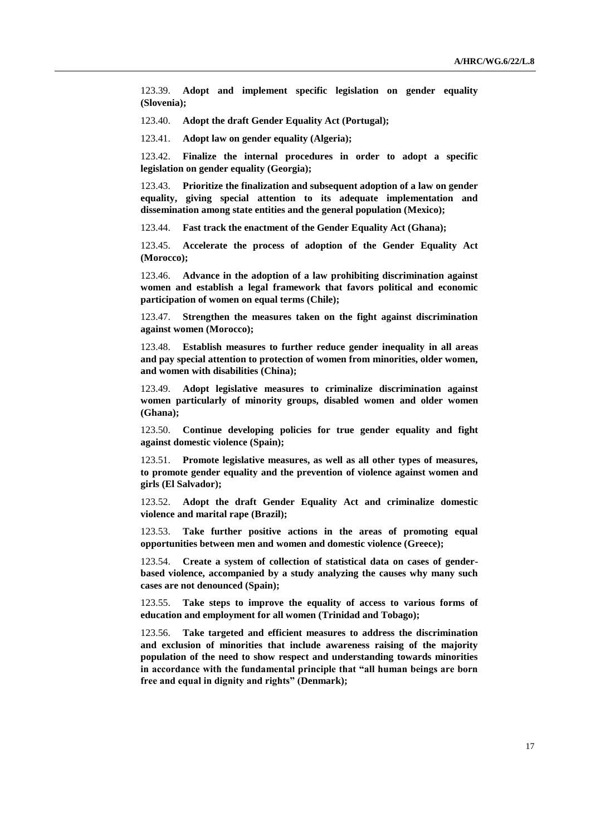123.39. **Adopt and implement specific legislation on gender equality (Slovenia);** 

123.40. **Adopt the draft Gender Equality Act (Portugal);**

123.41. **Adopt law on gender equality (Algeria);**

123.42. **Finalize the internal procedures in order to adopt a specific legislation on gender equality (Georgia);**

123.43. **Prioritize the finalization and subsequent adoption of a law on gender equality, giving special attention to its adequate implementation and dissemination among state entities and the general population (Mexico);** 

123.44. **Fast track the enactment of the Gender Equality Act (Ghana);**

123.45. **Accelerate the process of adoption of the Gender Equality Act (Morocco);**

123.46. **Advance in the adoption of a law prohibiting discrimination against women and establish a legal framework that favors political and economic participation of women on equal terms (Chile);**

123.47. **Strengthen the measures taken on the fight against discrimination against women (Morocco);**

123.48. **Establish measures to further reduce gender inequality in all areas and pay special attention to protection of women from minorities, older women, and women with disabilities (China);**

123.49. **Adopt legislative measures to criminalize discrimination against women particularly of minority groups, disabled women and older women (Ghana);**

123.50. **Continue developing policies for true gender equality and fight against domestic violence (Spain);**

123.51. **Promote legislative measures, as well as all other types of measures, to promote gender equality and the prevention of violence against women and girls (El Salvador);**

123.52. **Adopt the draft Gender Equality Act and criminalize domestic violence and marital rape (Brazil);**

123.53. **Take further positive actions in the areas of promoting equal opportunities between men and women and domestic violence (Greece);**

123.54. **Create a system of collection of statistical data on cases of genderbased violence, accompanied by a study analyzing the causes why many such cases are not denounced (Spain);**

123.55. **Take steps to improve the equality of access to various forms of education and employment for all women (Trinidad and Tobago);**

123.56. **Take targeted and efficient measures to address the discrimination and exclusion of minorities that include awareness raising of the majority population of the need to show respect and understanding towards minorities in accordance with the fundamental principle that "all human beings are born free and equal in dignity and rights" (Denmark);**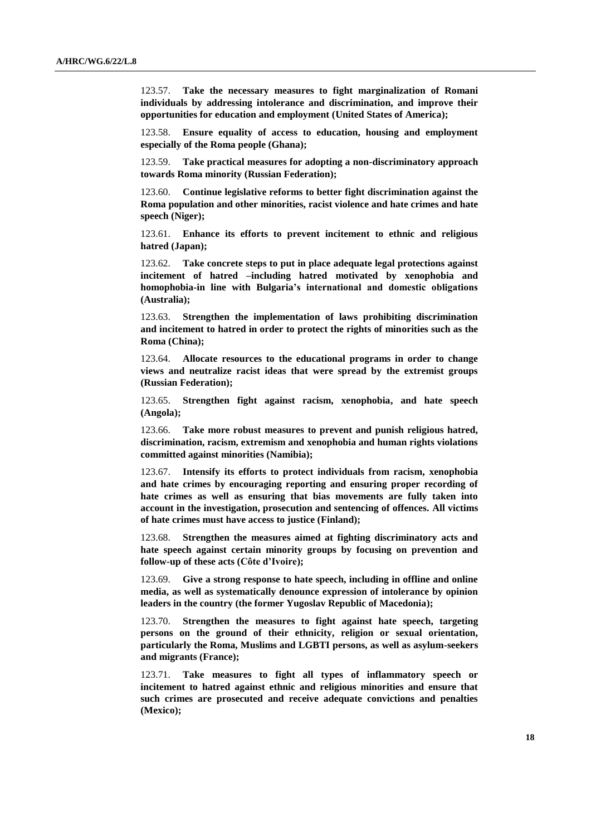123.57. **Take the necessary measures to fight marginalization of Romani individuals by addressing intolerance and discrimination, and improve their opportunities for education and employment (United States of America);**

123.58. **Ensure equality of access to education, housing and employment especially of the Roma people (Ghana);**

123.59. **Take practical measures for adopting a non-discriminatory approach towards Roma minority (Russian Federation);**

123.60. **Continue legislative reforms to better fight discrimination against the Roma population and other minorities, racist violence and hate crimes and hate speech (Niger);** 

123.61. **Enhance its efforts to prevent incitement to ethnic and religious hatred (Japan);**

123.62. **Take concrete steps to put in place adequate legal protections against incitement of hatred –including hatred motivated by xenophobia and homophobia-in line with Bulgaria's international and domestic obligations (Australia);**

123.63. **Strengthen the implementation of laws prohibiting discrimination and incitement to hatred in order to protect the rights of minorities such as the Roma (China);**

123.64. **Allocate resources to the educational programs in order to change views and neutralize racist ideas that were spread by the extremist groups (Russian Federation);**

123.65. **Strengthen fight against racism, xenophobia, and hate speech (Angola);**

123.66. **Take more robust measures to prevent and punish religious hatred, discrimination, racism, extremism and xenophobia and human rights violations committed against minorities (Namibia);**

123.67. **Intensify its efforts to protect individuals from racism, xenophobia and hate crimes by encouraging reporting and ensuring proper recording of hate crimes as well as ensuring that bias movements are fully taken into account in the investigation, prosecution and sentencing of offences. All victims of hate crimes must have access to justice (Finland);**

123.68. **Strengthen the measures aimed at fighting discriminatory acts and hate speech against certain minority groups by focusing on prevention and follow-up of these acts (Côte d'Ivoire);**

123.69. **Give a strong response to hate speech, including in offline and online media, as well as systematically denounce expression of intolerance by opinion leaders in the country (the former Yugoslav Republic of Macedonia);**

123.70. **Strengthen the measures to fight against hate speech, targeting persons on the ground of their ethnicity, religion or sexual orientation, particularly the Roma, Muslims and LGBTI persons, as well as asylum-seekers and migrants (France);**

123.71. **Take measures to fight all types of inflammatory speech or incitement to hatred against ethnic and religious minorities and ensure that such crimes are prosecuted and receive adequate convictions and penalties (Mexico);**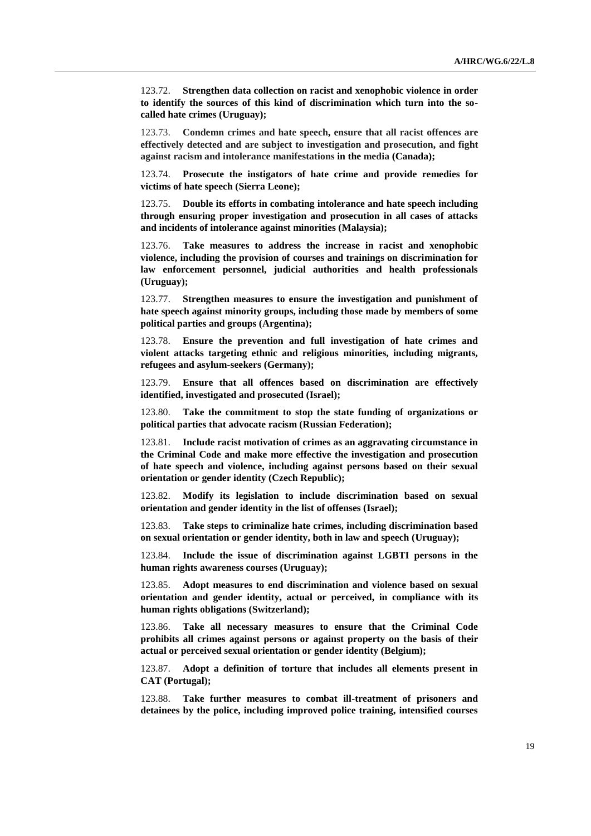123.72. **Strengthen data collection on racist and xenophobic violence in order to identify the sources of this kind of discrimination which turn into the socalled hate crimes (Uruguay);**

123.73. **Condemn crimes and hate speech, ensure that all racist offences are effectively detected and are subject to investigation and prosecution, and fight against racism and intolerance manifestations in the media (Canada);**

123.74. **Prosecute the instigators of hate crime and provide remedies for victims of hate speech (Sierra Leone);**

123.75. **Double its efforts in combating intolerance and hate speech including through ensuring proper investigation and prosecution in all cases of attacks and incidents of intolerance against minorities (Malaysia);**

123.76. **Take measures to address the increase in racist and xenophobic violence, including the provision of courses and trainings on discrimination for law enforcement personnel, judicial authorities and health professionals (Uruguay);** 

123.77. **Strengthen measures to ensure the investigation and punishment of hate speech against minority groups, including those made by members of some political parties and groups (Argentina);**

123.78. **Ensure the prevention and full investigation of hate crimes and violent attacks targeting ethnic and religious minorities, including migrants, refugees and asylum-seekers (Germany);**

123.79. **Ensure that all offences based on discrimination are effectively identified, investigated and prosecuted (Israel);**

123.80. **Take the commitment to stop the state funding of organizations or political parties that advocate racism (Russian Federation);**

123.81. **Include racist motivation of crimes as an aggravating circumstance in the Criminal Code and make more effective the investigation and prosecution of hate speech and violence, including against persons based on their sexual orientation or gender identity (Czech Republic);**

123.82. **Modify its legislation to include discrimination based on sexual orientation and gender identity in the list of offenses (Israel);** 

123.83. **Take steps to criminalize hate crimes, including discrimination based on sexual orientation or gender identity, both in law and speech (Uruguay);** 

123.84. **Include the issue of discrimination against LGBTI persons in the human rights awareness courses (Uruguay);**

123.85. **Adopt measures to end discrimination and violence based on sexual orientation and gender identity, actual or perceived, in compliance with its human rights obligations (Switzerland);**

123.86. **Take all necessary measures to ensure that the Criminal Code prohibits all crimes against persons or against property on the basis of their actual or perceived sexual orientation or gender identity (Belgium);**

123.87. **Adopt a definition of torture that includes all elements present in CAT (Portugal);** 

123.88. **Take further measures to combat ill-treatment of prisoners and detainees by the police, including improved police training, intensified courses**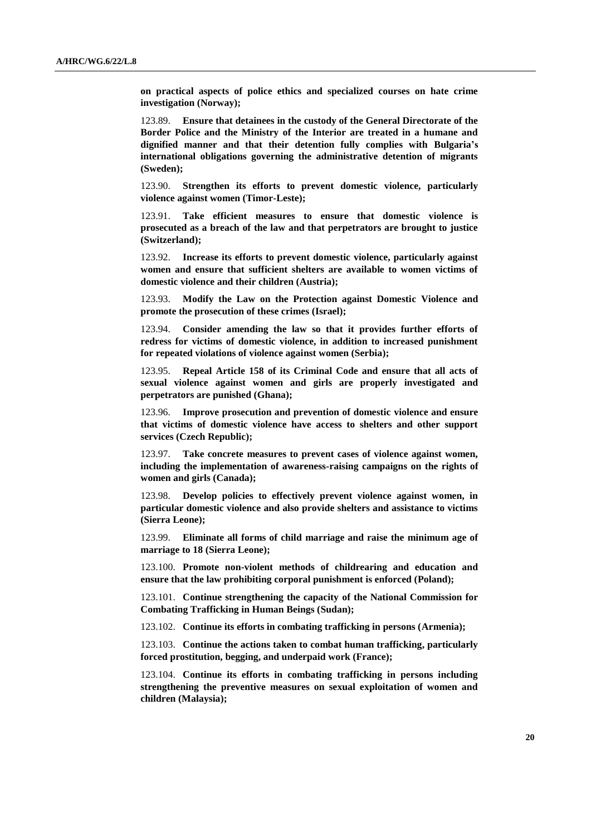**on practical aspects of police ethics and specialized courses on hate crime investigation (Norway);**

123.89. **Ensure that detainees in the custody of the General Directorate of the Border Police and the Ministry of the Interior are treated in a humane and dignified manner and that their detention fully complies with Bulgaria's international obligations governing the administrative detention of migrants (Sweden);**

123.90. **Strengthen its efforts to prevent domestic violence, particularly violence against women (Timor-Leste);**

123.91. **Take efficient measures to ensure that domestic violence is prosecuted as a breach of the law and that perpetrators are brought to justice (Switzerland);**

123.92. **Increase its efforts to prevent domestic violence, particularly against women and ensure that sufficient shelters are available to women victims of domestic violence and their children (Austria);**

123.93. **Modify the Law on the Protection against Domestic Violence and promote the prosecution of these crimes (Israel);**

123.94. **Consider amending the law so that it provides further efforts of redress for victims of domestic violence, in addition to increased punishment for repeated violations of violence against women (Serbia);**

Repeal Article 158 of its Criminal Code and ensure that all acts of **sexual violence against women and girls are properly investigated and perpetrators are punished (Ghana);**

123.96. **Improve prosecution and prevention of domestic violence and ensure that victims of domestic violence have access to shelters and other support services (Czech Republic);**

123.97. **Take concrete measures to prevent cases of violence against women, including the implementation of awareness-raising campaigns on the rights of women and girls (Canada);**

123.98. **Develop policies to effectively prevent violence against women, in particular domestic violence and also provide shelters and assistance to victims (Sierra Leone);**

123.99. **Eliminate all forms of child marriage and raise the minimum age of marriage to 18 (Sierra Leone);**

123.100. **Promote non-violent methods of childrearing and education and ensure that the law prohibiting corporal punishment is enforced (Poland);**

123.101. **Continue strengthening the capacity of the National Commission for Combating Trafficking in Human Beings (Sudan);** 

123.102. **Continue its efforts in combating trafficking in persons (Armenia);**

123.103. **Continue the actions taken to combat human trafficking, particularly forced prostitution, begging, and underpaid work (France);**

123.104. **Continue its efforts in combating trafficking in persons including strengthening the preventive measures on sexual exploitation of women and children (Malaysia);**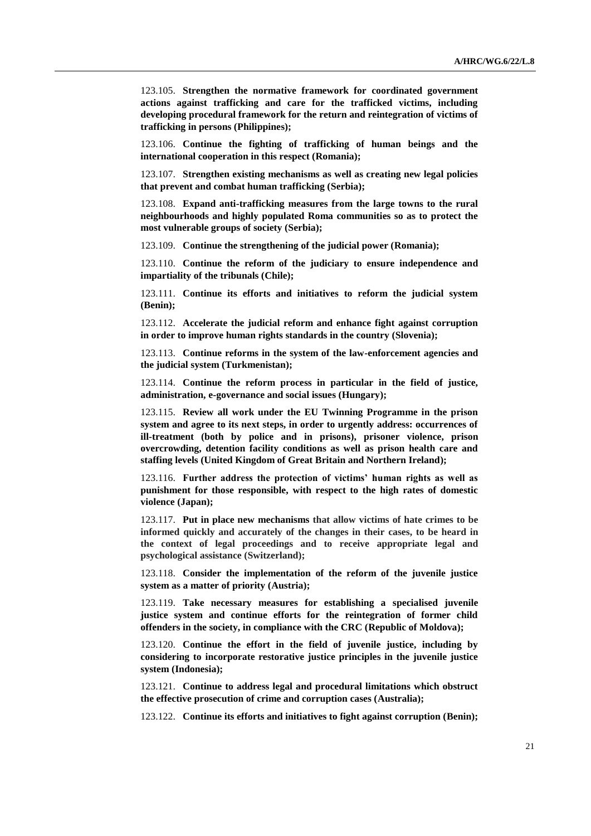123.105. **Strengthen the normative framework for coordinated government actions against trafficking and care for the trafficked victims, including developing procedural framework for the return and reintegration of victims of trafficking in persons (Philippines);**

123.106. **Continue the fighting of trafficking of human beings and the international cooperation in this respect (Romania);**

123.107. **Strengthen existing mechanisms as well as creating new legal policies that prevent and combat human trafficking (Serbia);**

123.108. **Expand anti-trafficking measures from the large towns to the rural neighbourhoods and highly populated Roma communities so as to protect the most vulnerable groups of society (Serbia);**

123.109. **Continue the strengthening of the judicial power (Romania);**

123.110. **Continue the reform of the judiciary to ensure independence and impartiality of the tribunals (Chile);**

123.111. **Continue its efforts and initiatives to reform the judicial system (Benin);**

123.112. **Accelerate the judicial reform and enhance fight against corruption in order to improve human rights standards in the country (Slovenia);**

123.113. **Continue reforms in the system of the law-enforcement agencies and the judicial system (Turkmenistan);**

123.114. **Continue the reform process in particular in the field of justice, administration, e-governance and social issues (Hungary);**

123.115. **Review all work under the EU Twinning Programme in the prison system and agree to its next steps, in order to urgently address: occurrences of ill-treatment (both by police and in prisons), prisoner violence, prison overcrowding, detention facility conditions as well as prison health care and staffing levels (United Kingdom of Great Britain and Northern Ireland);**

123.116. **Further address the protection of victims' human rights as well as punishment for those responsible, with respect to the high rates of domestic violence (Japan);**

123.117. **Put in place new mechanisms that allow victims of hate crimes to be informed quickly and accurately of the changes in their cases, to be heard in the context of legal proceedings and to receive appropriate legal and psychological assistance (Switzerland);**

123.118. **Consider the implementation of the reform of the juvenile justice system as a matter of priority (Austria);**

123.119. **Take necessary measures for establishing a specialised juvenile justice system and continue efforts for the reintegration of former child offenders in the society, in compliance with the CRC (Republic of Moldova);**

123.120. **Continue the effort in the field of juvenile justice, including by considering to incorporate restorative justice principles in the juvenile justice system (Indonesia);**

123.121. **Continue to address legal and procedural limitations which obstruct the effective prosecution of crime and corruption cases (Australia);**

123.122. **Continue its efforts and initiatives to fight against corruption (Benin);**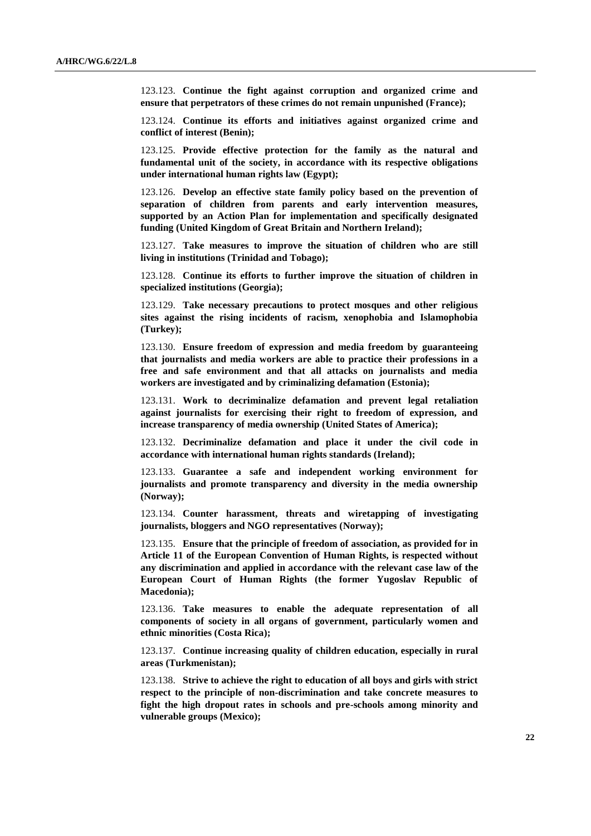123.123. **Continue the fight against corruption and organized crime and ensure that perpetrators of these crimes do not remain unpunished (France);**

123.124. **Continue its efforts and initiatives against organized crime and conflict of interest (Benin);**

123.125. **Provide effective protection for the family as the natural and fundamental unit of the society, in accordance with its respective obligations under international human rights law (Egypt);**

123.126. **Develop an effective state family policy based on the prevention of separation of children from parents and early intervention measures, supported by an Action Plan for implementation and specifically designated funding (United Kingdom of Great Britain and Northern Ireland);**

123.127. **Take measures to improve the situation of children who are still living in institutions (Trinidad and Tobago);**

123.128. **Continue its efforts to further improve the situation of children in specialized institutions (Georgia);**

123.129. **Take necessary precautions to protect mosques and other religious sites against the rising incidents of racism, xenophobia and Islamophobia (Turkey);**

123.130. **Ensure freedom of expression and media freedom by guaranteeing that journalists and media workers are able to practice their professions in a free and safe environment and that all attacks on journalists and media workers are investigated and by criminalizing defamation (Estonia);**

123.131. **Work to decriminalize defamation and prevent legal retaliation against journalists for exercising their right to freedom of expression, and increase transparency of media ownership (United States of America);**

123.132. **Decriminalize defamation and place it under the civil code in accordance with international human rights standards (Ireland);**

123.133. **Guarantee a safe and independent working environment for journalists and promote transparency and diversity in the media ownership (Norway);** 

123.134. **Counter harassment, threats and wiretapping of investigating journalists, bloggers and NGO representatives (Norway);**

123.135. **Ensure that the principle of freedom of association, as provided for in Article 11 of the European Convention of Human Rights, is respected without any discrimination and applied in accordance with the relevant case law of the European Court of Human Rights (the former Yugoslav Republic of Macedonia);**

123.136. **Take measures to enable the adequate representation of all components of society in all organs of government, particularly women and ethnic minorities (Costa Rica);**

123.137. **Continue increasing quality of children education, especially in rural areas (Turkmenistan);**

123.138. **Strive to achieve the right to education of all boys and girls with strict respect to the principle of non-discrimination and take concrete measures to fight the high dropout rates in schools and pre-schools among minority and vulnerable groups (Mexico);**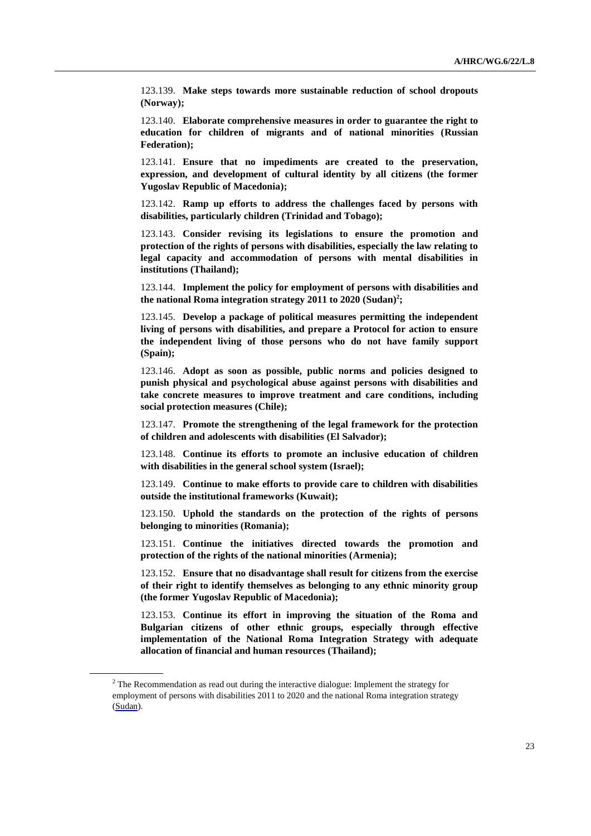123.139. **Make steps towards more sustainable reduction of school dropouts (Norway);**

123.140. **Elaborate comprehensive measures in order to guarantee the right to education for children of migrants and of national minorities (Russian Federation);**

123.141. **Ensure that no impediments are created to the preservation, expression, and development of cultural identity by all citizens (the former Yugoslav Republic of Macedonia);**

123.142. **Ramp up efforts to address the challenges faced by persons with disabilities, particularly children (Trinidad and Tobago);**

123.143. **Consider revising its legislations to ensure the promotion and protection of the rights of persons with disabilities, especially the law relating to legal capacity and accommodation of persons with mental disabilities in institutions (Thailand);**

123.144. **Implement the policy for employment of persons with disabilities and the national Roma integration strategy 2011 to 2020 (Sudan) 2 ;**

123.145. **Develop a package of political measures permitting the independent living of persons with disabilities, and prepare a Protocol for action to ensure the independent living of those persons who do not have family support (Spain);**

123.146. **Adopt as soon as possible, public norms and policies designed to punish physical and psychological abuse against persons with disabilities and take concrete measures to improve treatment and care conditions, including social protection measures (Chile);**

123.147. **Promote the strengthening of the legal framework for the protection of children and adolescents with disabilities (El Salvador);**

123.148. **Continue its efforts to promote an inclusive education of children with disabilities in the general school system (Israel);**

123.149. **Continue to make efforts to provide care to children with disabilities outside the institutional frameworks (Kuwait);**

123.150. **Uphold the standards on the protection of the rights of persons belonging to minorities (Romania);**

123.151. **Continue the initiatives directed towards the promotion and protection of the rights of the national minorities (Armenia);**

123.152. **Ensure that no disadvantage shall result for citizens from the exercise of their right to identify themselves as belonging to any ethnic minority group (the former Yugoslav Republic of Macedonia);**

123.153. **Continue its effort in improving the situation of the Roma and Bulgarian citizens of other ethnic groups, especially through effective implementation of the National Roma Integration Strategy with adequate allocation of financial and human resources (Thailand);**

<sup>&</sup>lt;sup>2</sup> The Recommendation as read out during the interactive dialogue: Implement the strategy for employment of persons with disabilities 2011 to 2020 and the national Roma integration strategy (Sudan).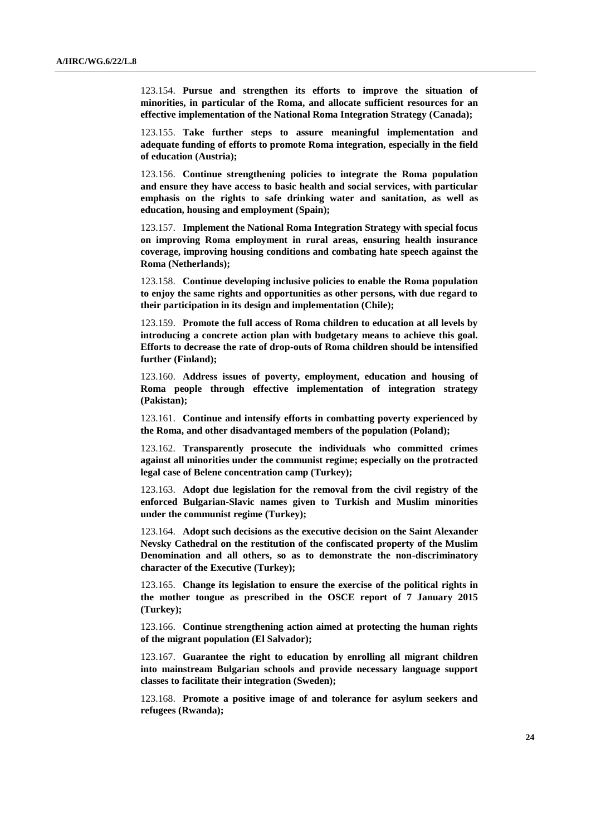123.154. **Pursue and strengthen its efforts to improve the situation of minorities, in particular of the Roma, and allocate sufficient resources for an effective implementation of the National Roma Integration Strategy (Canada);** 

123.155. **Take further steps to assure meaningful implementation and adequate funding of efforts to promote Roma integration, especially in the field of education (Austria);**

123.156. **Continue strengthening policies to integrate the Roma population and ensure they have access to basic health and social services, with particular emphasis on the rights to safe drinking water and sanitation, as well as education, housing and employment (Spain);**

123.157. **Implement the National Roma Integration Strategy with special focus on improving Roma employment in rural areas, ensuring health insurance coverage, improving housing conditions and combating hate speech against the Roma (Netherlands);**

123.158. **Continue developing inclusive policies to enable the Roma population to enjoy the same rights and opportunities as other persons, with due regard to their participation in its design and implementation (Chile);**

123.159. **Promote the full access of Roma children to education at all levels by introducing a concrete action plan with budgetary means to achieve this goal. Efforts to decrease the rate of drop-outs of Roma children should be intensified further (Finland);**

123.160. **Address issues of poverty, employment, education and housing of Roma people through effective implementation of integration strategy (Pakistan);**

123.161. **Continue and intensify efforts in combatting poverty experienced by the Roma, and other disadvantaged members of the population (Poland);**

123.162. **Transparently prosecute the individuals who committed crimes against all minorities under the communist regime; especially on the protracted legal case of Belene concentration camp (Turkey);**

123.163. **Adopt due legislation for the removal from the civil registry of the enforced Bulgarian-Slavic names given to Turkish and Muslim minorities under the communist regime (Turkey);**

123.164. **Adopt such decisions as the executive decision on the Saint Alexander Nevsky Cathedral on the restitution of the confiscated property of the Muslim Denomination and all others, so as to demonstrate the non-discriminatory character of the Executive (Turkey);**

123.165. **Change its legislation to ensure the exercise of the political rights in the mother tongue as prescribed in the OSCE report of 7 January 2015 (Turkey);**

123.166. **Continue strengthening action aimed at protecting the human rights of the migrant population (El Salvador);**

123.167. **Guarantee the right to education by enrolling all migrant children into mainstream Bulgarian schools and provide necessary language support classes to facilitate their integration (Sweden);**

123.168. **Promote a positive image of and tolerance for asylum seekers and refugees (Rwanda);**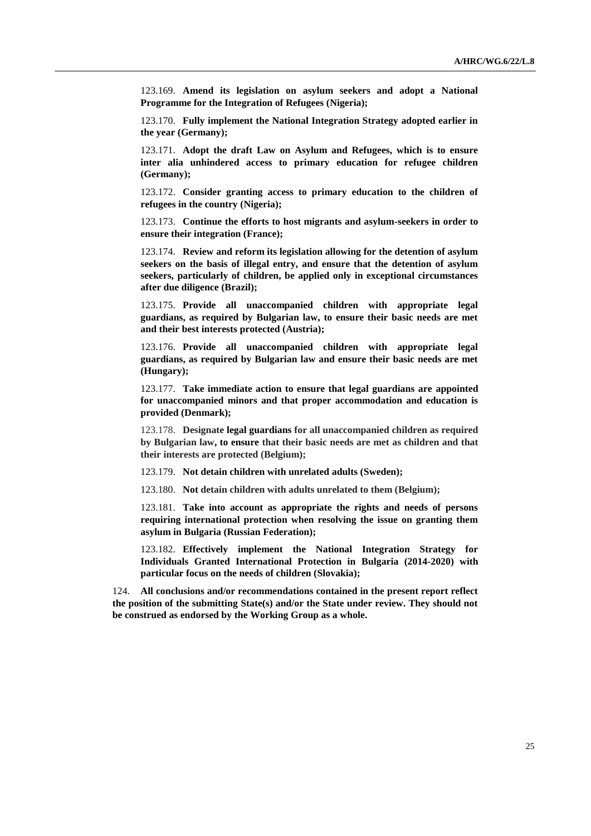123.169. **Amend its legislation on asylum seekers and adopt a National Programme for the Integration of Refugees (Nigeria);**

123.170. **Fully implement the National Integration Strategy adopted earlier in the year (Germany);**

123.171. **Adopt the draft Law on Asylum and Refugees, which is to ensure inter alia unhindered access to primary education for refugee children (Germany);**

123.172. **Consider granting access to primary education to the children of refugees in the country (Nigeria);**

123.173. **Continue the efforts to host migrants and asylum-seekers in order to ensure their integration (France);**

123.174. **Review and reform its legislation allowing for the detention of asylum seekers on the basis of illegal entry, and ensure that the detention of asylum seekers, particularly of children, be applied only in exceptional circumstances after due diligence (Brazil);**

123.175. **Provide all unaccompanied children with appropriate legal guardians, as required by Bulgarian law, to ensure their basic needs are met and their best interests protected (Austria);**

123.176. **Provide all unaccompanied children with appropriate legal guardians, as required by Bulgarian law and ensure their basic needs are met (Hungary);**

123.177. **Take immediate action to ensure that legal guardians are appointed for unaccompanied minors and that proper accommodation and education is provided (Denmark);**

123.178. **Designate legal guardians for all unaccompanied children as required by Bulgarian law, to ensure that their basic needs are met as children and that their interests are protected (Belgium);**

123.179. **Not detain children with unrelated adults (Sweden);**

123.180. **Not detain children with adults unrelated to them (Belgium);**

123.181. **Take into account as appropriate the rights and needs of persons requiring international protection when resolving the issue on granting them asylum in Bulgaria (Russian Federation);**

123.182. **Effectively implement the National Integration Strategy for Individuals Granted International Protection in Bulgaria (2014-2020) with particular focus on the needs of children (Slovakia);**

124. **All conclusions and/or recommendations contained in the present report reflect the position of the submitting State(s) and/or the State under review. They should not be construed as endorsed by the Working Group as a whole.**